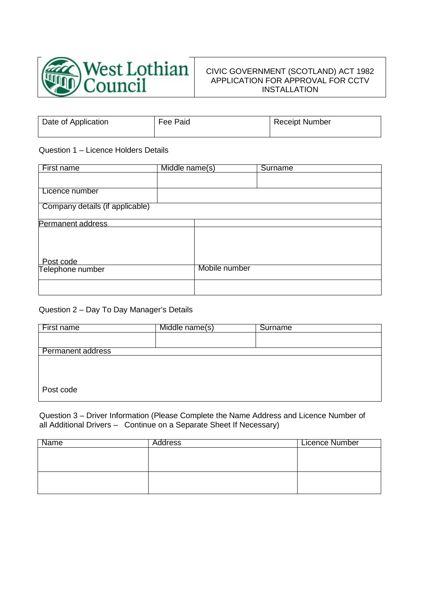

# CIVIC GOVERNMENT (SCOTLAND) ACT 1982 APPLICATION FOR APPROVAL FOR CCTV INSTALLATION

| Date of Application | Fee Paid | <b>Receipt Number</b> |
|---------------------|----------|-----------------------|
|                     |          |                       |

### Question 1 – Licence Holders Details

| First name                      | Middle name(s) |               | <b>Surname</b> |
|---------------------------------|----------------|---------------|----------------|
|                                 |                |               |                |
| Licence number                  |                |               |                |
| Company details (if applicable) |                |               |                |
| Permanent address               |                |               |                |
|                                 |                |               |                |
|                                 |                |               |                |
| Post code                       |                |               |                |
| Telephone number                |                | Mobile number |                |
|                                 |                |               |                |
|                                 |                |               |                |

### Question 2 – Day To Day Manager's Details

| First name               | Middle name(s) | Surname |
|--------------------------|----------------|---------|
|                          |                |         |
| <b>Permanent address</b> |                |         |
|                          |                |         |
|                          |                |         |
| Post code                |                |         |

Question 3 – Driver Information (Please Complete the Name Address and Licence Number of all Additional Drivers – Continue on a Separate Sheet If Necessary)

| Name | <b>Address</b> | Licence Number |
|------|----------------|----------------|
|      |                |                |
|      |                |                |
|      |                |                |
|      |                |                |
|      |                |                |
|      |                |                |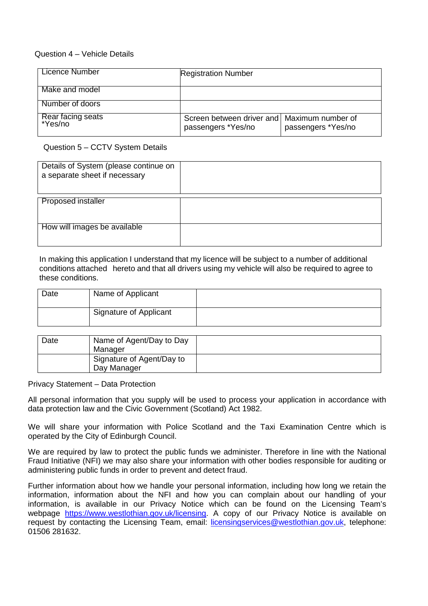## Question 4 – Vehicle Details

| Licence Number               | <b>Registration Number</b>                                          |                    |
|------------------------------|---------------------------------------------------------------------|--------------------|
| Make and model               |                                                                     |                    |
| Number of doors              |                                                                     |                    |
| Rear facing seats<br>*Yes/no | Screen between driver and   Maximum number of<br>passengers *Yes/no | passengers *Yes/no |

Question 5 – CCTV System Details

| Details of System (please continue on<br>a separate sheet if necessary |  |
|------------------------------------------------------------------------|--|
| <b>Proposed installer</b>                                              |  |
|                                                                        |  |
|                                                                        |  |
| How will images be available                                           |  |
|                                                                        |  |

In making this application I understand that my licence will be subject to a number of additional conditions attached hereto and that all drivers using my vehicle will also be required to agree to these conditions.

| Date | Name of Applicant      |  |
|------|------------------------|--|
|      | Signature of Applicant |  |

| Date | Name of Agent/Day to Day  |  |
|------|---------------------------|--|
|      | Manager                   |  |
|      | Signature of Agent/Day to |  |
|      | Day Manager               |  |

Privacy Statement – Data Protection

All personal information that you supply will be used to process your application in accordance with data protection law and the Civic Government (Scotland) Act 1982.

We will share your information with Police Scotland and the Taxi Examination Centre which is operated by the City of Edinburgh Council.

We are required by law to protect the public funds we administer. Therefore in line with the National Fraud Initiative (NFI) we may also share your information with other bodies responsible for auditing or administering public funds in order to prevent and detect fraud.

Further information about how we handle your personal information, including how long we retain the information, information about the NFI and how you can complain about our handling of your information, is available in our Privacy Notice which can be found on the Licensing Team's webpage [https://www.westlothian.gov.uk/licensing.](https://www.westlothian.gov.uk/licensing) A copy of our Privacy Notice is available on request by contacting the Licensing Team, email: [licensingservices@westlothian.gov.uk,](mailto:licensingservices@westlothian.gov.uk) telephone: 01506 281632.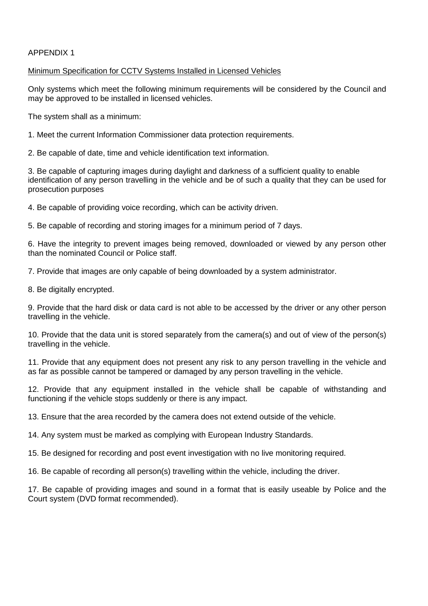### APPENDIX 1

### Minimum Specification for CCTV Systems Installed in Licensed Vehicles

Only systems which meet the following minimum requirements will be considered by the Council and may be approved to be installed in licensed vehicles.

The system shall as a minimum:

1. Meet the current Information Commissioner data protection requirements.

2. Be capable of date, time and vehicle identification text information.

3. Be capable of capturing images during daylight and darkness of a sufficient quality to enable identification of any person travelling in the vehicle and be of such a quality that they can be used for prosecution purposes

4. Be capable of providing voice recording, which can be activity driven.

5. Be capable of recording and storing images for a minimum period of 7 days.

6. Have the integrity to prevent images being removed, downloaded or viewed by any person other than the nominated Council or Police staff.

7. Provide that images are only capable of being downloaded by a system administrator.

8. Be digitally encrypted.

9. Provide that the hard disk or data card is not able to be accessed by the driver or any other person travelling in the vehicle.

10. Provide that the data unit is stored separately from the camera(s) and out of view of the person(s) travelling in the vehicle.

11. Provide that any equipment does not present any risk to any person travelling in the vehicle and as far as possible cannot be tampered or damaged by any person travelling in the vehicle.

12. Provide that any equipment installed in the vehicle shall be capable of withstanding and functioning if the vehicle stops suddenly or there is any impact.

13. Ensure that the area recorded by the camera does not extend outside of the vehicle.

14. Any system must be marked as complying with European Industry Standards.

15. Be designed for recording and post event investigation with no live monitoring required.

16. Be capable of recording all person(s) travelling within the vehicle, including the driver.

17. Be capable of providing images and sound in a format that is easily useable by Police and the Court system (DVD format recommended).